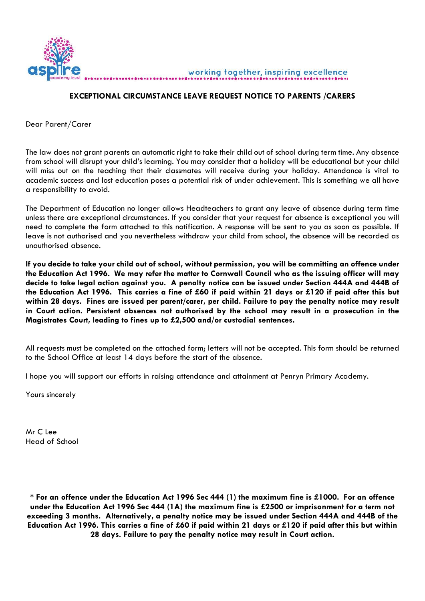

## **EXCEPTIONAL CIRCUMSTANCE LEAVE REQUEST NOTICE TO PARENTS /CARERS**

Dear Parent/Carer

The law does not grant parents an automatic right to take their child out of school during term time. Any absence from school will disrupt your child's learning. You may consider that a holiday will be educational but your child will miss out on the teaching that their classmates will receive during your holiday. Attendance is vital to academic success and lost education poses a potential risk of under achievement. This is something we all have a responsibility to avoid.

The Department of Education no longer allows Headteachers to grant any leave of absence during term time unless there are exceptional circumstances. If you consider that your request for absence is exceptional you will need to complete the form attached to this notification. A response will be sent to you as soon as possible. If leave is not authorised and you nevertheless withdraw your child from school, the absence will be recorded as unauthorised absence.

**If you decide to take your child out of school, without permission, you will be committing an offence under the Education Act 1996. We may refer the matter to Cornwall Council who as the issuing officer will may decide to take legal action against you. A penalty notice can be issued under Section 444A and 444B of the Education Act 1996. This carries a fine of £60 if paid within 21 days or £120 if paid after this but within 28 days. Fines are issued per parent/carer, per child. Failure to pay the penalty notice may result in Court action. Persistent absences not authorised by the school may result in a prosecution in the Magistrates Court, leading to fines up to £2,500 and/or custodial sentences.**

All requests must be completed on the attached form; letters will not be accepted. This form should be returned to the School Office at least 14 days before the start of the absence.

I hope you will support our efforts in raising attendance and attainment at Penryn Primary Academy.

Yours sincerely

Mr C Lee Head of School

**\* For an offence under the Education Act 1996 Sec 444 (1) the maximum fine is £1000. For an offence under the Education Act 1996 Sec 444 (1A) the maximum fine is £2500 or imprisonment for a term not exceeding 3 months. Alternatively, a penalty notice may be issued under Section 444A and 444B of the Education Act 1996. This carries a fine of £60 if paid within 21 days or £120 if paid after this but within 28 days. Failure to pay the penalty notice may result in Court action.**